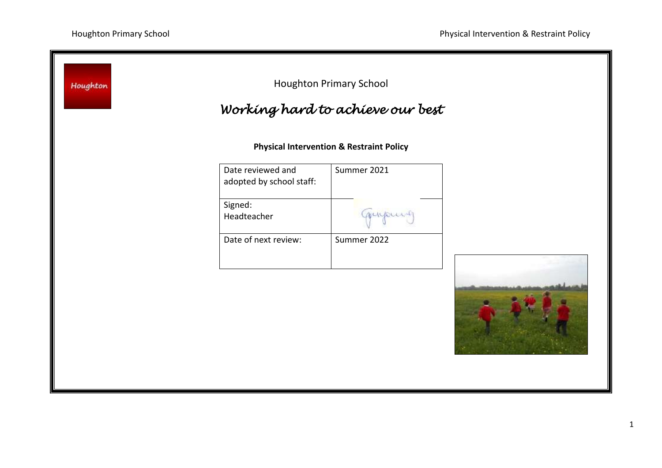| Houghton | Working hard to achieve our best              | <b>Houghton Primary School</b>                      |  |
|----------|-----------------------------------------------|-----------------------------------------------------|--|
|          |                                               | <b>Physical Intervention &amp; Restraint Policy</b> |  |
|          | Date reviewed and<br>adopted by school staff: | Summer 2021                                         |  |
|          | Signed:<br>Headteacher                        | mupunt                                              |  |
|          | Date of next review:                          | Summer 2022                                         |  |
|          |                                               |                                                     |  |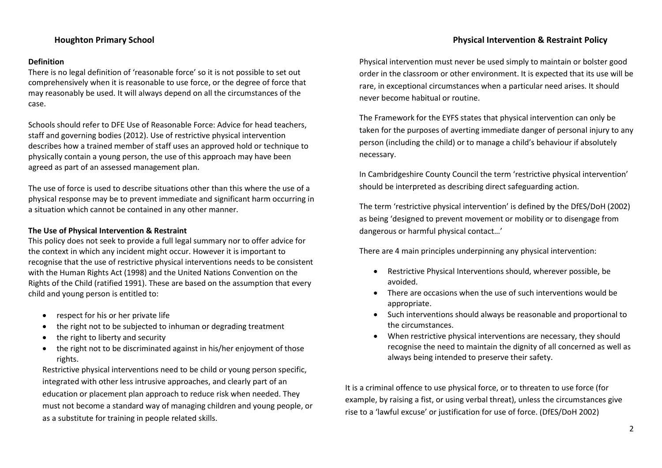## **Definition**

There is no legal definition of 'reasonable force' so it is not possible to set out comprehensively when it is reasonable to use force, or the degree of force that may reasonably be used. It will always depend on all the circumstances of the case.

Schools should refer to DFE Use of Reasonable Force: Advice for head teachers, staff and governing bodies (2012). Use of restrictive physical intervention describes how a trained member of staff uses an approved hold or technique to physically contain a young person, the use of this approach may have been agreed as part of an assessed management plan.

The use of force is used to describe situations other than this where the use of a physical response may be to prevent immediate and significant harm occurring in a situation which cannot be contained in any other manner.

## **The Use of Physical Intervention & Restraint**

This policy does not seek to provide a full legal summary nor to offer advice for the context in which any incident might occur. However it is important to recognise that the use of restrictive physical interventions needs to be consistent with the Human Rights Act (1998) and the United Nations Convention on the Rights of the Child (ratified 1991). These are based on the assumption that every child and young person is entitled to:

- respect for his or her private life
- the right not to be subjected to inhuman or degrading treatment
- the right to liberty and security
- the right not to be discriminated against in his/her enjoyment of those rights.

Restrictive physical interventions need to be child or young person specific, integrated with other less intrusive approaches, and clearly part of an education or placement plan approach to reduce risk when needed. They must not become a standard way of managing children and young people, or as a substitute for training in people related skills.

Physical intervention must never be used simply to maintain or bolster good order in the classroom or other environment. It is expected that its use will be rare, in exceptional circumstances when a particular need arises. It should never become habitual or routine.

The Framework for the EYFS states that physical intervention can only be taken for the purposes of averting immediate danger of personal injury to any person (including the child) or to manage a child's behaviour if absolutely necessary.

In Cambridgeshire County Council the term 'restrictive physical intervention' should be interpreted as describing direct safeguarding action.

The term 'restrictive physical intervention' is defined by the DfES/DoH (2002) as being 'designed to prevent movement or mobility or to disengage from dangerous or harmful physical contact…'

There are 4 main principles underpinning any physical intervention:

- Restrictive Physical Interventions should, wherever possible, be avoided.
- There are occasions when the use of such interventions would be appropriate.
- Such interventions should always be reasonable and proportional to the circumstances.
- When restrictive physical interventions are necessary, they should recognise the need to maintain the dignity of all concerned as well as always being intended to preserve their safety.

It is a criminal offence to use physical force, or to threaten to use force (for example, by raising a fist, or using verbal threat), unless the circumstances give rise to a 'lawful excuse' or justification for use of force. (DfES/DoH 2002)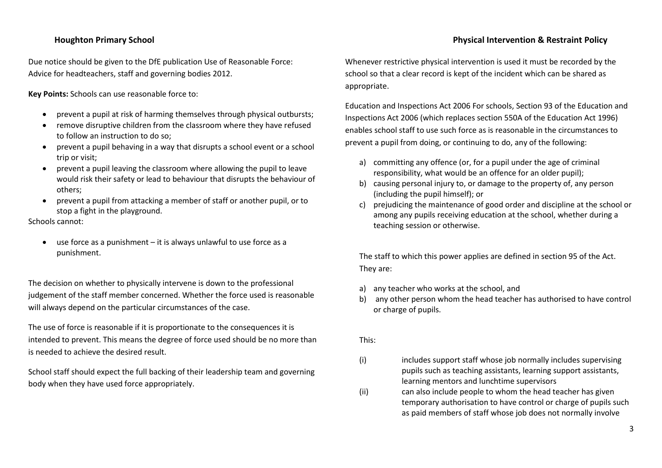Due notice should be given to the DfE publication Use of Reasonable Force: Advice for headteachers, staff and governing bodies 2012.

**Key Points:** Schools can use reasonable force to:

- prevent a pupil at risk of harming themselves through physical outbursts;
- remove disruptive children from the classroom where they have refused to follow an instruction to do so;
- prevent a pupil behaving in a way that disrupts a school event or a school trip or visit;
- prevent a pupil leaving the classroom where allowing the pupil to leave would risk their safety or lead to behaviour that disrupts the behaviour of others;
- prevent a pupil from attacking a member of staff or another pupil, or to stop a fight in the playground.

Schools cannot:

 use force as a punishment – it is always unlawful to use force as a punishment.

The decision on whether to physically intervene is down to the professional judgement of the staff member concerned. Whether the force used is reasonable will always depend on the particular circumstances of the case.

The use of force is reasonable if it is proportionate to the consequences it is intended to prevent. This means the degree of force used should be no more than is needed to achieve the desired result.

School staff should expect the full backing of their leadership team and governing body when they have used force appropriately.

Whenever restrictive physical intervention is used it must be recorded by the school so that a clear record is kept of the incident which can be shared as appropriate.

Education and Inspections Act 2006 For schools, Section 93 of the Education and Inspections Act 2006 (which replaces section 550A of the Education Act 1996) enables school staff to use such force as is reasonable in the circumstances to prevent a pupil from doing, or continuing to do, any of the following:

- a) committing any offence (or, for a pupil under the age of criminal responsibility, what would be an offence for an older pupil);
- b) causing personal injury to, or damage to the property of, any person (including the pupil himself); or
- c) prejudicing the maintenance of good order and discipline at the school or among any pupils receiving education at the school, whether during a teaching session or otherwise.

The staff to which this power applies are defined in section 95 of the Act. They are:

- a) any teacher who works at the school, and
- b) any other person whom the head teacher has authorised to have control or charge of pupils.

This:

- (i) includes support staff whose job normally includes supervising pupils such as teaching assistants, learning support assistants, learning mentors and lunchtime supervisors
- (ii) can also include people to whom the head teacher has given temporary authorisation to have control or charge of pupils such as paid members of staff whose job does not normally involve

# **Houghton Primary School Physical Intervention & Restraint Policy**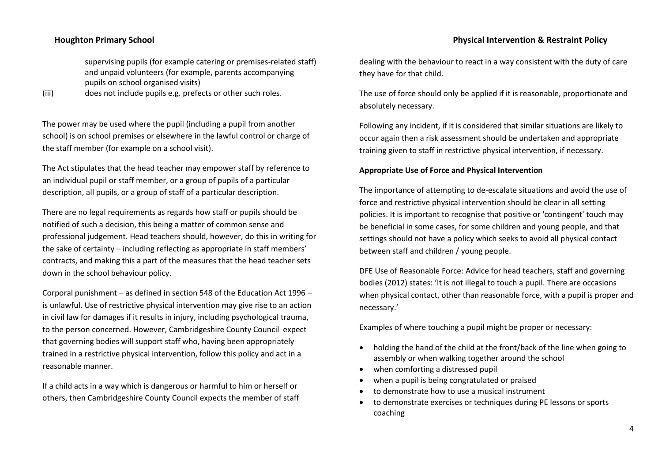supervising pupils (for example catering or premises-related staff) and unpaid volunteers (for example, parents accompanying pupils on school organised visits)

(iii) does not include pupils e.g. prefects or other such roles.

The power may be used where the pupil (including a pupil from another school) is on school premises or elsewhere in the lawful control or charge of the staff member (for example on a school visit).

The Act stipulates that the head teacher may empower staff by reference to an individual pupil or staff member, or a group of pupils of a particular description, all pupils, or a group of staff of a particular description.

There are no legal requirements as regards how staff or pupils should be notified of such a decision, this being a matter of common sense and professional judgement. Head teachers should, however, do this in writing for the sake of certainty – including reflecting as appropriate in staff members' contracts, and making this a part of the measures that the head teacher sets down in the school behaviour policy.

Corporal punishment – as defined in section 548 of the Education Act 1996 – is unlawful. Use of restrictive physical intervention may give rise to an action in civil law for damages if it results in injury, including psychological trauma, to the person concerned. However, Cambridgeshire County Council expect that governing bodies will support staff who, having been appropriately trained in a restrictive physical intervention, follow this policy and act in a reasonable manner.

If a child acts in a way which is dangerous or harmful to him or herself or others, then Cambridgeshire County Council expects the member of staff dealing with the behaviour to react in a way consistent with the duty of care

The use of force should only be applied if it is reasonable, proportionate and absolutely necessary.

Following any incident, if it is considered that similar situations are likely to occur again then a risk assessment should be undertaken and appropriate training given to staff in restrictive physical intervention, if necessary.

## **Appropriate Use of Force and Physical Intervention**

they have for that child.

The importance of attempting to de-escalate situations and avoid the use of force and restrictive physical intervention should be clear in all setting policies. It is important to recognise that positive or 'contingent' touch may be beneficial in some cases, for some children and young people, and that settings should not have a policy which seeks to avoid all physical contact between staff and children / young people.

DFE Use of Reasonable Force: Advice for head teachers, staff and governing bodies (2012) states: 'It is not illegal to touch a pupil. There are occasions when physical contact, other than reasonable force, with a pupil is proper and necessary.'

Examples of where touching a pupil might be proper or necessary:

- holding the hand of the child at the front/back of the line when going to assembly or when walking together around the school
- when comforting a distressed pupil
- when a pupil is being congratulated or praised
- to demonstrate how to use a musical instrument
- to demonstrate exercises or techniques during PE lessons or sports coaching

# **Houghton Primary School Physical Intervention & Restraint Policy**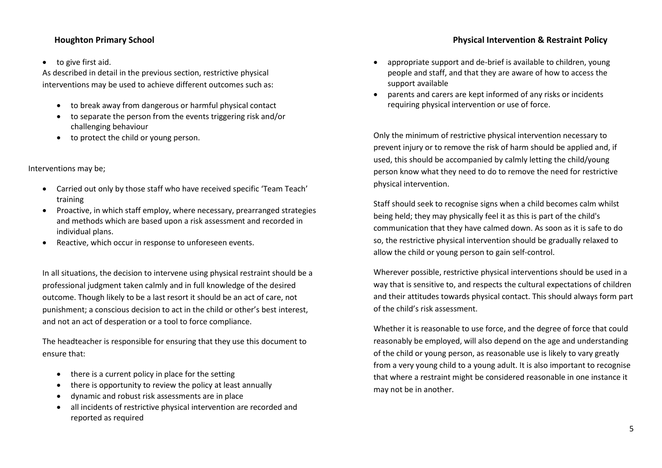## to give first aid.

As described in detail in the previous section, restrictive physical interventions may be used to achieve different outcomes such as:

- to break away from dangerous or harmful physical contact
- to separate the person from the events triggering risk and/or challenging behaviour
- to protect the child or young person.

## Interventions may be;

- Carried out only by those staff who have received specific 'Team Teach' training
- Proactive, in which staff employ, where necessary, prearranged strategies and methods which are based upon a risk assessment and recorded in individual plans.
- Reactive, which occur in response to unforeseen events.

In all situations, the decision to intervene using physical restraint should be a professional judgment taken calmly and in full knowledge of the desired outcome. Though likely to be a last resort it should be an act of care, not punishment; a conscious decision to act in the child or other's best interest, and not an act of desperation or a tool to force compliance.

The headteacher is responsible for ensuring that they use this document to ensure that:

- there is a current policy in place for the setting
- there is opportunity to review the policy at least annually
- dynamic and robust risk assessments are in place
- all incidents of restrictive physical intervention are recorded and reported as required
- appropriate support and de-brief is available to children, young people and staff, and that they are aware of how to access the
- parents and carers are kept informed of any risks or incidents requiring physical intervention or use of force.

support available

Only the minimum of restrictive physical intervention necessary to prevent injury or to remove the risk of harm should be applied and, if used, this should be accompanied by calmly letting the child/young person know what they need to do to remove the need for restrictive physical intervention.

Staff should seek to recognise signs when a child becomes calm whilst being held; they may physically feel it as this is part of the child's communication that they have calmed down. As soon as it is safe to do so, the restrictive physical intervention should be gradually relaxed to allow the child or young person to gain self-control.

Wherever possible, restrictive physical interventions should be used in a way that is sensitive to, and respects the cultural expectations of children and their attitudes towards physical contact. This should always form part of the child's risk assessment.

Whether it is reasonable to use force, and the degree of force that could reasonably be employed, will also depend on the age and understanding of the child or young person, as reasonable use is likely to vary greatly from a very young child to a young adult. It is also important to recognise that where a restraint might be considered reasonable in one instance it may not be in another.

# **Houghton Primary School Physical Intervention & Restraint Policy**